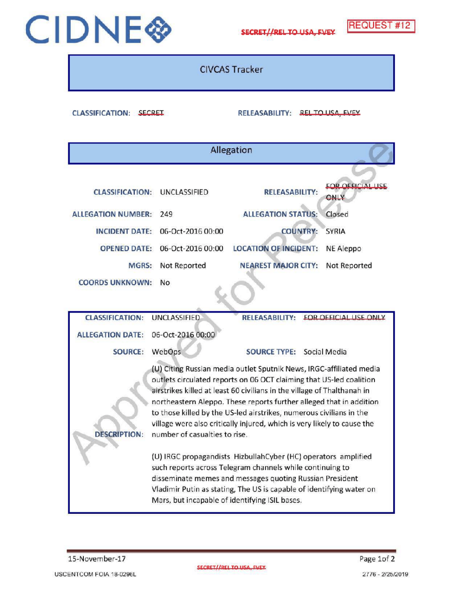## CIDNE CO SECRET//RELTO USA, FVEY REQUEST #12



CIVCAS Tracker

CLASSIFICATION: SECRET RELEASABILITY: RELEASABILITY: RELEASABILITY: RELEASABILITY: RELEASABILITY: RELEASABILITY: RELEASABILITY: RELEASABILITY: RELEASABILITY: RELEASABILITY: RELEASABILITY: RELEASABILITY: RELEASABILITY: RELE

| Allegation                                                                                                                                    |                                                                                                                                                                                                                                                                                                                                                                                                                                                                                  |                                                                                                                                     |                                                                                         |
|-----------------------------------------------------------------------------------------------------------------------------------------------|----------------------------------------------------------------------------------------------------------------------------------------------------------------------------------------------------------------------------------------------------------------------------------------------------------------------------------------------------------------------------------------------------------------------------------------------------------------------------------|-------------------------------------------------------------------------------------------------------------------------------------|-----------------------------------------------------------------------------------------|
| <b>CLASSIFICATION:</b><br><b>ALLEGATION NUMBER:</b><br><b>INCIDENT DATE:</b><br><b>OPENED DATE:</b><br><b>MGRS:</b><br><b>COORDS UNKNOWN:</b> | <b>UNCLASSIFIED</b><br>249<br>06-Oct-2016 00:00<br>06-Oct-2016 00:00<br>Not Reported<br><b>No</b>                                                                                                                                                                                                                                                                                                                                                                                | <b>RELEASABILITY:</b><br><b>ALLEGATION STATUS:</b><br><b>COUNTRY:</b><br><b>LOCATION OF INCIDENT:</b><br><b>NEAREST MAJOR CITY:</b> | <b>FOR OFFICIAL LISE</b><br>ONLY<br>Closed<br><b>SYRIA</b><br>NE Aleppo<br>Not Reported |
| <b>CLASSIFICATION:</b><br><b>ALLEGATION DATE:</b>                                                                                             | <b>UNCLASSIFIED</b><br>06-Oct-2016 00:00                                                                                                                                                                                                                                                                                                                                                                                                                                         | <b>RELEASABILITY:</b>                                                                                                               | <b>EOR OFFICIAL USE ONLY</b>                                                            |
| <b>SOURCE:</b>                                                                                                                                | WebOps                                                                                                                                                                                                                                                                                                                                                                                                                                                                           | <b>SOURCE TYPE:</b>                                                                                                                 | Social Media                                                                            |
| <b>DESCRIPTION:</b>                                                                                                                           | (U) Citing Russian media outlet Sputnik News, IRGC-affiliated media<br>outlets circulated reports on 06 OCT claiming that US-led coalition<br>airstrikes killed at least 60 civilians in the village of Thalthanah in<br>northeastern Aleppo. These reports further alleged that in addition.<br>to those killed by the US-led airstrikes, numerous civilians in the<br>village were also critically injured, which is very likely to cause the<br>number of casualties to rise. |                                                                                                                                     |                                                                                         |
|                                                                                                                                               | (U) IRGC propagandists HizbullahCyber (HC) operators amplified<br>such reports across Telegram channels while continuing to<br>disseminate memes and messages quoting Russian President<br>Vladimir Putin as stating, The US is capable of identifying water on<br>Mars, but incapable of identifying ISIL bases.                                                                                                                                                                |                                                                                                                                     |                                                                                         |